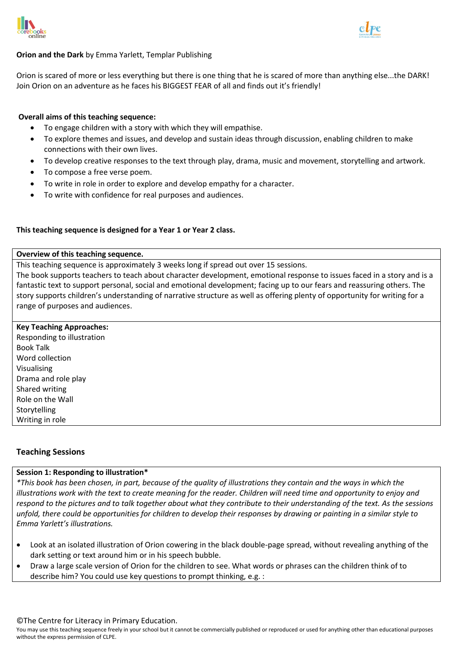



## **Orion and the Dark** by Emma Yarlett, Templar Publishing

Orion is scared of more or less everything but there is one thing that he is scared of more than anything else...the DARK! Join Orion on an adventure as he faces his BIGGEST FEAR of all and finds out it's friendly!

### **Overall aims of this teaching sequence:**

- To engage children with a story with which they will empathise.
- To explore themes and issues, and develop and sustain ideas through discussion, enabling children to make connections with their own lives.
- To develop creative responses to the text through play, drama, music and movement, storytelling and artwork.
- To compose a free verse poem.
- To write in role in order to explore and develop empathy for a character.
- To write with confidence for real purposes and audiences.

#### **This teaching sequence is designed for a Year 1 or Year 2 class.**

#### **Overview of this teaching sequence.**

This teaching sequence is approximately 3 weeks long if spread out over 15 sessions.

The book supports teachers to teach about character development, emotional response to issues faced in a story and is a fantastic text to support personal, social and emotional development; facing up to our fears and reassuring others. The story supports children's understanding of narrative structure as well as offering plenty of opportunity for writing for a range of purposes and audiences.

#### **Key Teaching Approaches:**

Responding to illustration Book Talk Word collection Visualising Drama and role play Shared writing Role on the Wall Storytelling Writing in role

## **Teaching Sessions**

#### **Session 1: Responding to illustration\***

*\*This book has been chosen, in part, because of the quality of illustrations they contain and the ways in which the illustrations work with the text to create meaning for the reader. Children will need time and opportunity to enjoy and respond to the pictures and to talk together about what they contribute to their understanding of the text. As the sessions unfold, there could be opportunities for children to develop their responses by drawing or painting in a similar style to Emma Yarlett's illustrations.*

- Look at an isolated illustration of Orion cowering in the black double-page spread, without revealing anything of the dark setting or text around him or in his speech bubble.
- Draw a large scale version of Orion for the children to see. What words or phrases can the children think of to describe him? You could use key questions to prompt thinking, e.g. :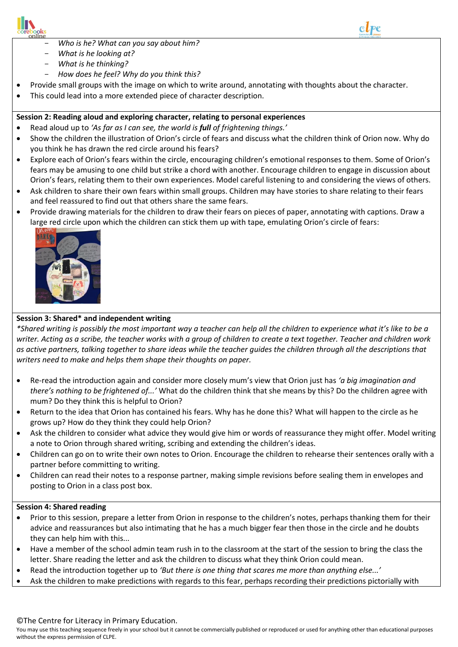



- $\overline{a}$ - *Who is he? What can you say about him?*
- *What is he looking at?*
- *What is he thinking?*
- *How does he feel? Why do you think this?*
- Provide small groups with the image on which to write around, annotating with thoughts about the character.
- This could lead into a more extended piece of character description.

## **Session 2: Reading aloud and exploring character, relating to personal experiences**

- Read aloud up to *'As far as I can see, the world is full of frightening things.'*
- Show the children the illustration of Orion's circle of fears and discuss what the children think of Orion now. Why do you think he has drawn the red circle around his fears?
- Explore each of Orion's fears within the circle, encouraging children's emotional responses to them. Some of Orion's fears may be amusing to one child but strike a chord with another. Encourage children to engage in discussion about Orion's fears, relating them to their own experiences. Model careful listening to and considering the views of others.
- Ask children to share their own fears within small groups. Children may have stories to share relating to their fears and feel reassured to find out that others share the same fears.
- Provide drawing materials for the children to draw their fears on pieces of paper, annotating with captions. Draw a large red circle upon which the children can stick them up with tape, emulating Orion's circle of fears:



## **Session 3: Shared\* and independent writing**

*\*Shared writing is possibly the most important way a teacher can help all the children to experience what it's like to be a writer. Acting as a scribe, the teacher works with a group of children to create a text together. Teacher and children work as active partners, talking together to share ideas while the teacher guides the children through all the descriptions that writers need to make and helps them shape their thoughts on paper.*

- Re-read the introduction again and consider more closely mum's view that Orion just has *'a big imagination and there's nothing to be frightened of...'* What do the children think that she means by this? Do the children agree with mum? Do they think this is helpful to Orion?
- Return to the idea that Orion has contained his fears. Why has he done this? What will happen to the circle as he grows up? How do they think they could help Orion?
- Ask the children to consider what advice they would give him or words of reassurance they might offer. Model writing a note to Orion through shared writing, scribing and extending the children's ideas.
- Children can go on to write their own notes to Orion. Encourage the children to rehearse their sentences orally with a partner before committing to writing.
- Children can read their notes to a response partner, making simple revisions before sealing them in envelopes and posting to Orion in a class post box.

## **Session 4: Shared reading**

- Prior to this session, prepare a letter from Orion in response to the children's notes, perhaps thanking them for their advice and reassurances but also intimating that he has a much bigger fear then those in the circle and he doubts they can help him with this...
- Have a member of the school admin team rush in to the classroom at the start of the session to bring the class the letter. Share reading the letter and ask the children to discuss what they think Orion could mean.
- Read the introduction together up to *'But there is one thing that scares me more than anything else...'*
- Ask the children to make predictions with regards to this fear, perhaps recording their predictions pictorially with

#### ©The Centre for Literacy in Primary Education.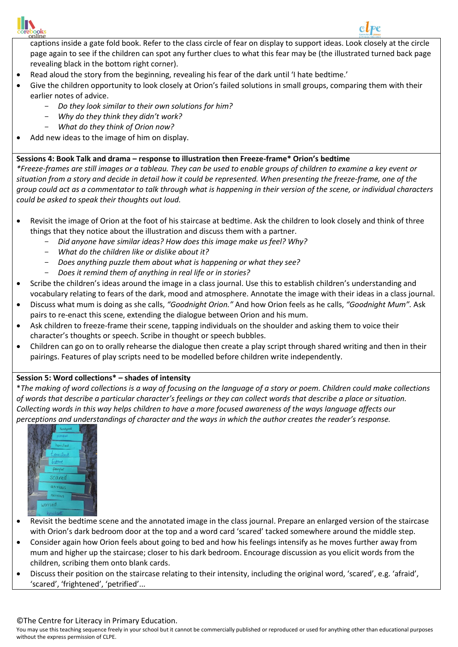

 $\overline{a}$ 



- Read aloud the story from the beginning, revealing his fear of the dark until 'I hate bedtime.'
- Give the children opportunity to look closely at Orion's failed solutions in small groups, comparing them with their earlier notes of advice.
	- *Do they look similar to their own solutions for him?*
	- *Why do they think they didn't work?*
	- *What do they think of Orion now?*
- Add new ideas to the image of him on display.

## **Sessions 4: Book Talk and drama – response to illustration then Freeze-frame\* Orion's bedtime**

*\*Freeze-frames are still images or a tableau. They can be used to enable groups of children to examine a key event or situation from a story and decide in detail how it could be represented. When presenting the freeze-frame, one of the group could act as a commentator to talk through what is happening in their version of the scene, or individual characters could be asked to speak their thoughts out loud.*

- Revisit the image of Orion at the foot of his staircase at bedtime. Ask the children to look closely and think of three things that they notice about the illustration and discuss them with a partner.
	- *Did anyone have similar ideas? How does this image make us feel? Why?*
	- *What do the children like or dislike about it?*
	- *Does anything puzzle them about what is happening or what they see?*
	- *Does it remind them of anything in real life or in stories?*
- Scribe the children's ideas around the image in a class journal. Use this to establish children's understanding and vocabulary relating to fears of the dark, mood and atmosphere. Annotate the image with their ideas in a class journal.
- Discuss what mum is doing as she calls, *"Goodnight Orion."* And how Orion feels as he calls, *"Goodnight Mum".* Ask pairs to re-enact this scene, extending the dialogue between Orion and his mum.
- Ask children to freeze-frame their scene, tapping individuals on the shoulder and asking them to voice their character's thoughts or speech. Scribe in thought or speech bubbles.
- Children can go on to orally rehearse the dialogue then create a play script through shared writing and then in their pairings. Features of play scripts need to be modelled before children write independently.

# **Session 5: Word collections\* – shades of intensity**

\**The making of word collections is a way of focusing on the language of a story or poem. Children could make collections of words that describe a particular character's feelings or they can collect words that describe a place or situation. Collecting words in this way helps children to have a more focused awareness of the ways language affects our perceptions and understandings of character and the ways in which the author creates the reader's response.*



- Revisit the bedtime scene and the annotated image in the class journal. Prepare an enlarged version of the staircase with Orion's dark bedroom door at the top and a word card 'scared' tacked somewhere around the middle step.
- Consider again how Orion feels about going to bed and how his feelings intensify as he moves further away from mum and higher up the staircase; closer to his dark bedroom. Encourage discussion as you elicit words from the children, scribing them onto blank cards.
- Discuss their position on the staircase relating to their intensity, including the original word, 'scared', e.g. 'afraid', 'scared', 'frightened', 'petrified'...

#### ©The Centre for Literacy in Primary Education.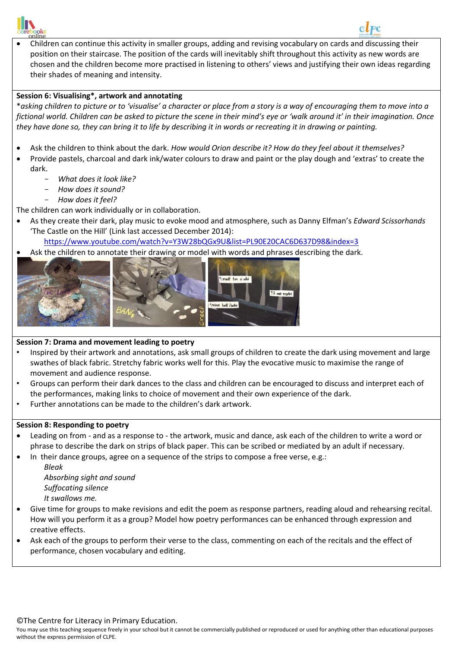

 $\overline{a}$  Children can continue this activity in smaller groups, adding and revising vocabulary on cards and discussing their position on their staircase. The position of the cards will inevitably shift throughout this activity as new words are chosen and the children become more practised in listening to others' views and justifying their own ideas regarding their shades of meaning and intensity.

## **Session 6: Visualising\*, artwork and annotating**

\**asking children to picture or to 'visualise' a character or place from a story is a way of encouraging them to move into a fictional world. Children can be asked to picture the scene in their mind's eye or 'walk around it' in their imagination. Once they have done so, they can bring it to life by describing it in words or recreating it in drawing or painting.*

- Ask the children to think about the dark. *How would Orion describe it? How do they feel about it themselves?*
- Provide pastels, charcoal and dark ink/water colours to draw and paint or the play dough and 'extras' to create the dark.
	- *What does it look like?*
	- *How does it sound?*
	- *How does it feel?*

The children can work individually or in collaboration.

- As they create their dark, play music to evoke mood and atmosphere, such as Danny Elfman's *Edward Scissorhands* 'The Castle on the Hill' (Link last accessed December 2014):
	- <https://www.youtube.com/watch?v=Y3W28bQGx9U&list=PL90E20CAC6D637D98&index=3>
- Ask the children to annotate their drawing or model with words and phrases describing the dark.







## **Session 7: Drama and movement leading to poetry**

- Inspired by their artwork and annotations, ask small groups of children to create the dark using movement and large swathes of black fabric. Stretchy fabric works well for this. Play the evocative music to maximise the range of movement and audience response.
- Groups can perform their dark dances to the class and children can be encouraged to discuss and interpret each of the performances, making links to choice of movement and their own experience of the dark.
- Further annotations can be made to the children's dark artwork.

#### **Session 8: Responding to poetry**

- Leading on from and as a response to the artwork, music and dance, ask each of the children to write a word or phrase to describe the dark on strips of black paper. This can be scribed or mediated by an adult if necessary.
- In their dance groups, agree on a sequence of the strips to compose a free verse, e.g.:

*Bleak Absorbing sight and sound Suffocating silence It swallows me.*

- Give time for groups to make revisions and edit the poem as response partners, reading aloud and rehearsing recital. How will you perform it as a group? Model how poetry performances can be enhanced through expression and creative effects.
- Ask each of the groups to perform their verse to the class, commenting on each of the recitals and the effect of performance, chosen vocabulary and editing.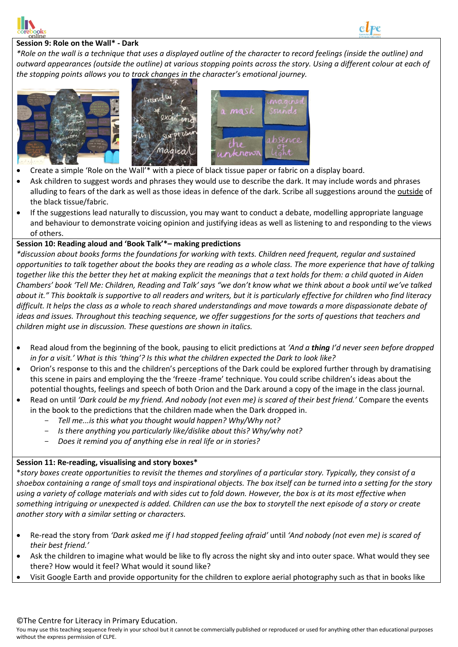



#### $\overline{a}$ **Session 9: Role on the Wall\* - Dark**

*\*Role on the wall is a technique that uses a displayed outline of the character to record feelings (inside the outline) and outward appearances (outside the outline) at various stopping points across the story. Using a different colour at each of the stopping points allows you to track changes in the character's emotional journey.* 







- Create a simple 'Role on the Wall'\* with a piece of black tissue paper or fabric on a display board.
- Ask children to suggest words and phrases they would use to describe the dark. It may include words and phrases alluding to fears of the dark as well as those ideas in defence of the dark. Scribe all suggestions around the outside of the black tissue/fabric.
- If the suggestions lead naturally to discussion, you may want to conduct a debate, modelling appropriate language and behaviour to demonstrate voicing opinion and justifying ideas as well as listening to and responding to the views of others.

## **Session 10: Reading aloud and 'Book Talk'\*– making predictions**

*\*discussion about books forms the foundations for working with texts. Children need frequent, regular and sustained opportunities to talk together about the books they are reading as a whole class. The more experience that have of talking together like this the better they het at making explicit the meanings that a text holds for them: a child quoted in Aiden Chambers' book 'Tell Me: Children, Reading and Talk' says "we don't know what we think about a book until we've talked about it." This booktalk is supportive to all readers and writers, but it is particularly effective for children who find literacy difficult. It helps the class as a whole to reach shared understandings and move towards a more dispassionate debate of ideas and issues. Throughout this teaching sequence, we offer suggestions for the sorts of questions that teachers and children might use in discussion. These questions are shown in italics.*

- Read aloud from the beginning of the book, pausing to elicit predictions at *'And a thing I'd never seen before dropped in for a visit.' What is this 'thing'? Is this what the children expected the Dark to look like?*
- Orion's response to this and the children's perceptions of the Dark could be explored further through by dramatising this scene in pairs and employing the the 'freeze -frame' technique. You could scribe children's ideas about the potential thoughts, feelings and speech of both Orion and the Dark around a copy of the image in the class journal.
- Read on until *'Dark could be my friend. And nobody (not even me) is scared of their best friend.'* Compare the events in the book to the predictions that the children made when the Dark dropped in.
	- *Tell me...is this what you thought would happen? Why/Why not?*
	- *Is there anything you particularly like/dislike about this? Why/why not?*
	- *Does it remind you of anything else in real life or in stories?*

## **Session 11: Re-reading, visualising and story boxes\***

\**story boxes create opportunities to revisit the themes and storylines of a particular story. Typically, they consist of a shoebox containing a range of small toys and inspirational objects. The box itself can be turned into a setting for the story using a variety of collage materials and with sides cut to fold down. However, the box is at its most effective when something intriguing or unexpected is added. Children can use the box to storytell the next episode of a story or create another story with a similar setting or characters.*

- Re-read the story from *'Dark asked me if I had stopped feeling afraid'* until *'And nobody (not even me) is scared of their best friend.'*
- Ask the children to imagine what would be like to fly across the night sky and into outer space. What would they see there? How would it feel? What would it sound like?
- Visit Google Earth and provide opportunity for the children to explore aerial photography such as that in books like

#### ©The Centre for Literacy in Primary Education.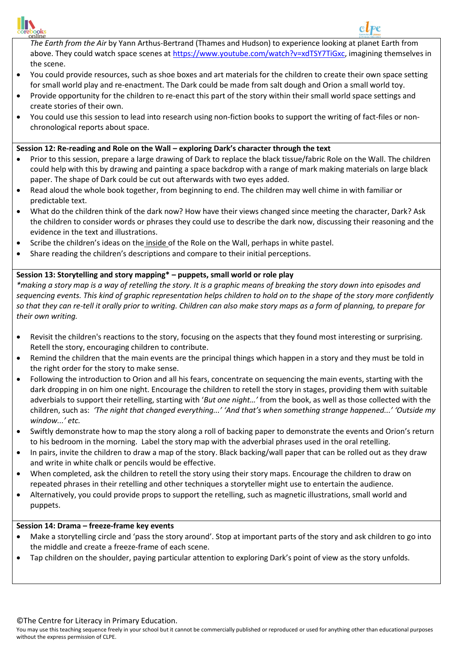

 $\overline{a}$ *The Earth from the Air* by Yann Arthus-Bertrand (Thames and Hudson) to experience looking at planet Earth from above. They could watch space scenes a[t https://www.youtube.com/watch?v=xdTSY7TiGxc,](https://www.youtube.com/watch?v=xdTSY7TiGxc) imagining themselves in the scene.

- You could provide resources, such as shoe boxes and art materials for the children to create their own space setting for small world play and re-enactment. The Dark could be made from salt dough and Orion a small world toy.
- Provide opportunity for the children to re-enact this part of the story within their small world space settings and create stories of their own.
- You could use this session to lead into research using non-fiction books to support the writing of fact-files or nonchronological reports about space.

## **Session 12: Re-reading and Role on the Wall – exploring Dark's character through the text**

- Prior to this session, prepare a large drawing of Dark to replace the black tissue/fabric Role on the Wall. The children could help with this by drawing and painting a space backdrop with a range of mark making materials on large black paper. The shape of Dark could be cut out afterwards with two eyes added.
- Read aloud the whole book together, from beginning to end. The children may well chime in with familiar or predictable text.
- What do the children think of the dark now? How have their views changed since meeting the character, Dark? Ask the children to consider words or phrases they could use to describe the dark now, discussing their reasoning and the evidence in the text and illustrations.
- Scribe the children's ideas on the inside of the Role on the Wall, perhaps in white pastel.
- Share reading the children's descriptions and compare to their initial perceptions.

## **Session 13: Storytelling and story mapping\* – puppets, small world or role play**

*\*making a story map is a way of retelling the story. It is a graphic means of breaking the story down into episodes and sequencing events. This kind of graphic representation helps children to hold on to the shape of the story more confidently so that they can re-tell it orally prior to writing. Children can also make story maps as a form of planning, to prepare for their own writing.*

- Revisit the children's reactions to the story, focusing on the aspects that they found most interesting or surprising. Retell the story, encouraging children to contribute.
- Remind the children that the main events are the principal things which happen in a story and they must be told in the right order for the story to make sense.
- Following the introduction to Orion and all his fears, concentrate on sequencing the main events, starting with the dark dropping in on him one night. Encourage the children to retell the story in stages, providing them with suitable adverbials to support their retelling, starting with '*But one night…'* from the book, as well as those collected with the children, such as: *'The night that changed everything...' 'And that's when something strange happened...' 'Outside my window...' etc.*
- Swiftly demonstrate how to map the story along a roll of backing paper to demonstrate the events and Orion's return to his bedroom in the morning. Label the story map with the adverbial phrases used in the oral retelling.
- In pairs, invite the children to draw a map of the story. Black backing/wall paper that can be rolled out as they draw and write in white chalk or pencils would be effective.
- When completed, ask the children to retell the story using their story maps. Encourage the children to draw on repeated phrases in their retelling and other techniques a storyteller might use to entertain the audience.
- Alternatively, you could provide props to support the retelling, such as magnetic illustrations, small world and puppets.

#### **Session 14: Drama – freeze-frame key events**

- Make a storytelling circle and 'pass the story around'. Stop at important parts of the story and ask children to go into the middle and create a freeze-frame of each scene.
- Tap children on the shoulder, paying particular attention to exploring Dark's point of view as the story unfolds.

#### ©The Centre for Literacy in Primary Education.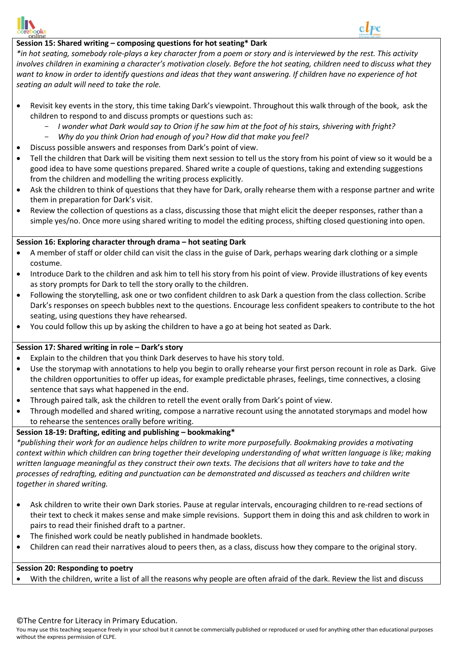

#### $\overline{a}$ **Session 15: Shared writing – composing questions for hot seating\* Dark**

*\*in hot seating, somebody role-plays a key character from a poem or story and is interviewed by the rest. This activity involves children in examining a character's motivation closely. Before the hot seating, children need to discuss what they want to know in order to identify questions and ideas that they want answering. If children have no experience of hot seating an adult will need to take the role.*

- Revisit key events in the story, this time taking Dark's viewpoint. Throughout this walk through of the book, ask the children to respond to and discuss prompts or questions such as:
	- *I wonder what Dark would say to Orion if he saw him at the foot of his stairs, shivering with fright?*
	- *Why do you think Orion had enough of you? How did that make you feel?*
- Discuss possible answers and responses from Dark's point of view.
- Tell the children that Dark will be visiting them next session to tell us the story from his point of view so it would be a good idea to have some questions prepared. Shared write a couple of questions, taking and extending suggestions from the children and modelling the writing process explicitly.
- Ask the children to think of questions that they have for Dark, orally rehearse them with a response partner and write them in preparation for Dark's visit.
- Review the collection of questions as a class, discussing those that might elicit the deeper responses, rather than a simple yes/no. Once more using shared writing to model the editing process, shifting closed questioning into open.

## **Session 16: Exploring character through drama – hot seating Dark**

- A member of staff or older child can visit the class in the guise of Dark, perhaps wearing dark clothing or a simple costume.
- Introduce Dark to the children and ask him to tell his story from his point of view. Provide illustrations of key events as story prompts for Dark to tell the story orally to the children.
- Following the storytelling, ask one or two confident children to ask Dark a question from the class collection. Scribe Dark's responses on speech bubbles next to the questions. Encourage less confident speakers to contribute to the hot seating, using questions they have rehearsed.
- You could follow this up by asking the children to have a go at being hot seated as Dark.

## **Session 17: Shared writing in role – Dark's story**

- Explain to the children that you think Dark deserves to have his story told.
- Use the storymap with annotations to help you begin to orally rehearse your first person recount in role as Dark. Give the children opportunities to offer up ideas, for example predictable phrases, feelings, time connectives, a closing sentence that says what happened in the end.
- Through paired talk, ask the children to retell the event orally from Dark's point of view.
- Through modelled and shared writing, compose a narrative recount using the annotated storymaps and model how to rehearse the sentences orally before writing.

## **Session 18-19: Drafting, editing and publishing – bookmaking\***

*\*publishing their work for an audience helps children to write more purposefully. Bookmaking provides a motivating context within which children can bring together their developing understanding of what written language is like; making written language meaningful as they construct their own texts. The decisions that all writers have to take and the processes of redrafting, editing and punctuation can be demonstrated and discussed as teachers and children write together in shared writing.*

- Ask children to write their own Dark stories. Pause at regular intervals, encouraging children to re-read sections of their text to check it makes sense and make simple revisions. Support them in doing this and ask children to work in pairs to read their finished draft to a partner.
- The finished work could be neatly published in handmade booklets.
- Children can read their narratives aloud to peers then, as a class, discuss how they compare to the original story.

## **Session 20: Responding to poetry**

With the children, write a list of all the reasons why people are often afraid of the dark. Review the list and discuss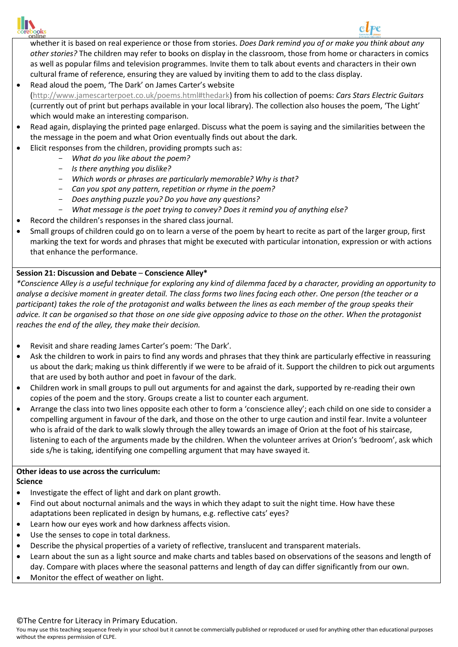

#### $\overline{a}$ whether it is based on real experience or those from stories. *Does Dark remind you of or make you think about any other stories?* The children may refer to books on display in the classroom, those from home or characters in comics as well as popular films and television programmes. Invite them to talk about events and characters in their own cultural frame of reference, ensuring they are valued by inviting them to add to the class display.

- Read aloud the poem, 'The Dark' on James Carter's website [\(http://www.jamescarterpoet.co.uk/poems.html#thedark\)](http://www.jamescarterpoet.co.uk/poems.html#thedark) from his collection of poems: *Cars Stars Electric Guitars* (currently out of print but perhaps available in your local library). The collection also houses the poem, 'The Light' which would make an interesting comparison.
- Read again, displaying the printed page enlarged. Discuss what the poem is saying and the similarities between the the message in the poem and what Orion eventually finds out about the dark.
- Elicit responses from the children, providing prompts such as:
- *What do you like about the poem?*
	- *Is there anything you dislike?*
	- *Which words or phrases are particularly memorable? Why is that?*
	- *Can you spot any pattern, repetition or rhyme in the poem?*
	- *Does anything puzzle you? Do you have any questions?*
	- *What message is the poet trying to convey? Does it remind you of anything else?*
- Record the children's responses in the shared class journal.
- Small groups of children could go on to learn a verse of the poem by heart to recite as part of the larger group, first marking the text for words and phrases that might be executed with particular intonation, expression or with actions that enhance the performance.

# **Session 21: Discussion and Debate** – **Conscience Alley\***

*\*Conscience Alley is a useful technique for exploring any kind of dilemma faced by a character, providing an opportunity to analyse a decisive moment in greater detail. The class forms two lines facing each other. One person (the teacher or a participant) takes the role of the protagonist and walks between the lines as each member of the group speaks their advice. It can be organised so that those on one side give opposing advice to those on the other. When the protagonist reaches the end of the alley, they make their decision.*

- Revisit and share reading James Carter's poem: 'The Dark'.
- Ask the children to work in pairs to find any words and phrases that they think are particularly effective in reassuring us about the dark; making us think differently if we were to be afraid of it. Support the children to pick out arguments that are used by both author and poet in favour of the dark.
- Children work in small groups to pull out arguments for and against the dark, supported by re-reading their own copies of the poem and the story. Groups create a list to counter each argument.
- Arrange the class into two lines opposite each other to form a 'conscience alley'; each child on one side to consider a compelling argument in favour of the dark, and those on the other to urge caution and instil fear. Invite a volunteer who is afraid of the dark to walk slowly through the alley towards an image of Orion at the foot of his staircase, listening to each of the arguments made by the children. When the volunteer arrives at Orion's 'bedroom', ask which side s/he is taking, identifying one compelling argument that may have swayed it.

# **Other ideas to use across the curriculum:**

**Science**

- Investigate the effect of light and dark on plant growth.
- Find out about nocturnal animals and the ways in which they adapt to suit the night time. How have these adaptations been replicated in design by humans, e.g. reflective cats' eyes?
- Learn how our eyes work and how darkness affects vision.
- Use the senses to cope in total darkness.
- Describe the physical properties of a variety of reflective, translucent and transparent materials.
- Learn about the sun as a light source and make charts and tables based on observations of the seasons and length of
- day. Compare with places where the seasonal patterns and length of day can differ significantly from our own.
- Monitor the effect of weather on light.

# ©The Centre for Literacy in Primary Education.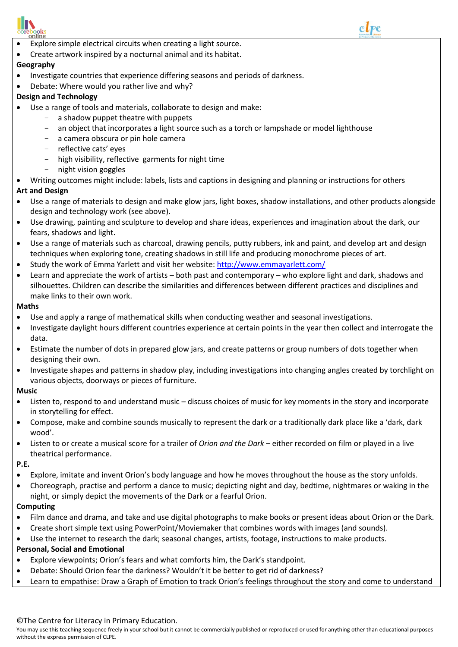

- $\overline{a}$ Explore simple electrical circuits when creating a light source.
- Create artwork inspired by a nocturnal animal and its habitat.

# **Geography**

- Investigate countries that experience differing seasons and periods of darkness.
- Debate: Where would you rather live and why?

## **Design and Technology**

- Use a range of tools and materials, collaborate to design and make:
	- a shadow puppet theatre with puppets
	- an object that incorporates a light source such as a torch or lampshade or model lighthouse
	- a camera obscura or pin hole camera
	- reflective cats' eyes
	- high visibility, reflective garments for night time
	- night vision goggles
- Writing outcomes might include: labels, lists and captions in designing and planning or instructions for others

## **Art and Design**

- Use a range of materials to design and make glow jars, light boxes, shadow installations, and other products alongside design and technology work (see above).
- Use drawing, painting and sculpture to develop and share ideas, experiences and imagination about the dark, our fears, shadows and light.
- Use a range of materials such as charcoal, drawing pencils, putty rubbers, ink and paint, and develop art and design techniques when exploring tone, creating shadows in still life and producing monochrome pieces of art.
- Study the work of Emma Yarlett and visit her website:<http://www.emmayarlett.com/>
- Learn and appreciate the work of artists both past and contemporary who explore light and dark, shadows and silhouettes. Children can describe the similarities and differences between different practices and disciplines and make links to their own work.

#### **Maths**

- Use and apply a range of mathematical skills when conducting weather and seasonal investigations.
- Investigate daylight hours different countries experience at certain points in the year then collect and interrogate the data.
- Estimate the number of dots in prepared glow jars, and create patterns or group numbers of dots together when designing their own.
- Investigate shapes and patterns in shadow play, including investigations into changing angles created by torchlight on various objects, doorways or pieces of furniture.

#### **Music**

- Listen to, respond to and understand music discuss choices of music for key moments in the story and incorporate in storytelling for effect.
- Compose, make and combine sounds musically to represent the dark or a traditionally dark place like a 'dark, dark wood'.
- Listen to or create a musical score for a trailer of *Orion and the Dark* either recorded on film or played in a live theatrical performance.

#### **P.E.**

- Explore, imitate and invent Orion's body language and how he moves throughout the house as the story unfolds.
- Choreograph, practise and perform a dance to music; depicting night and day, bedtime, nightmares or waking in the night, or simply depict the movements of the Dark or a fearful Orion.

#### **Computing**

- Film dance and drama, and take and use digital photographs to make books or present ideas about Orion or the Dark.
- Create short simple text using PowerPoint/Moviemaker that combines words with images (and sounds).
- Use the internet to research the dark; seasonal changes, artists, footage, instructions to make products.

## **Personal, Social and Emotional**

- Explore viewpoints; Orion's fears and what comforts him, the Dark's standpoint.
- Debate: Should Orion fear the darkness? Wouldn't it be better to get rid of darkness?
- Learn to empathise: Draw a Graph of Emotion to track Orion's feelings throughout the story and come to understand

# ©The Centre for Literacy in Primary Education.